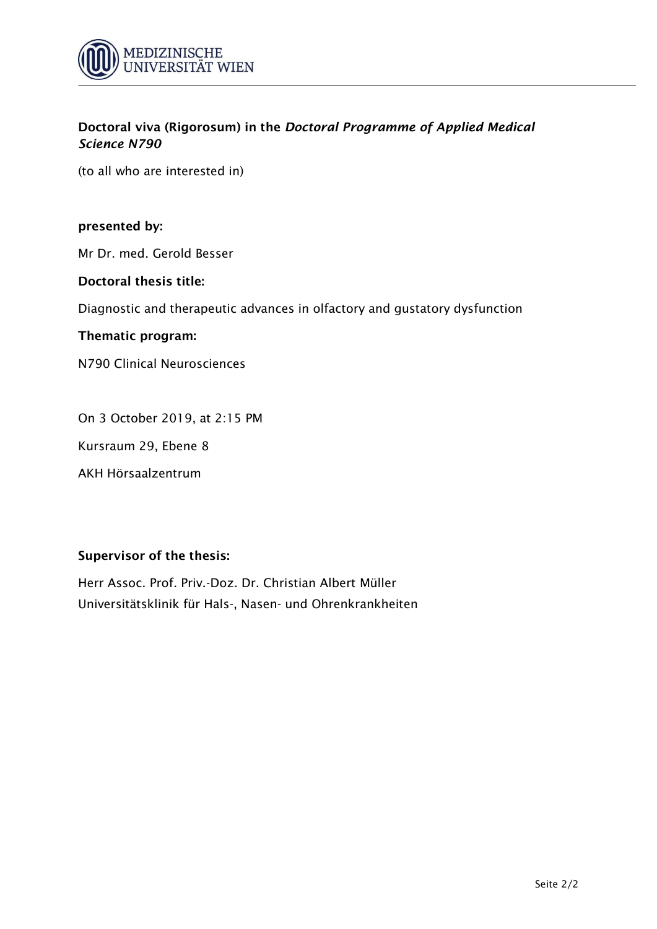

(to all who are interested in)

## **presented by:**

Mr Dr. med. Gerold Besser

#### **Doctoral thesis title:**

Diagnostic and therapeutic advances in olfactory and gustatory dysfunction

#### **Thematic program:**

N790 Clinical Neurosciences

On 3 October 2019, at 2:15 PM

Kursraum 29, Ebene 8

AKH Hörsaalzentrum

## **Supervisor of the thesis:**

Herr Assoc. Prof. Priv.-Doz. Dr. Christian Albert Müller Universitätsklinik für Hals-, Nasen- und Ohrenkrankheiten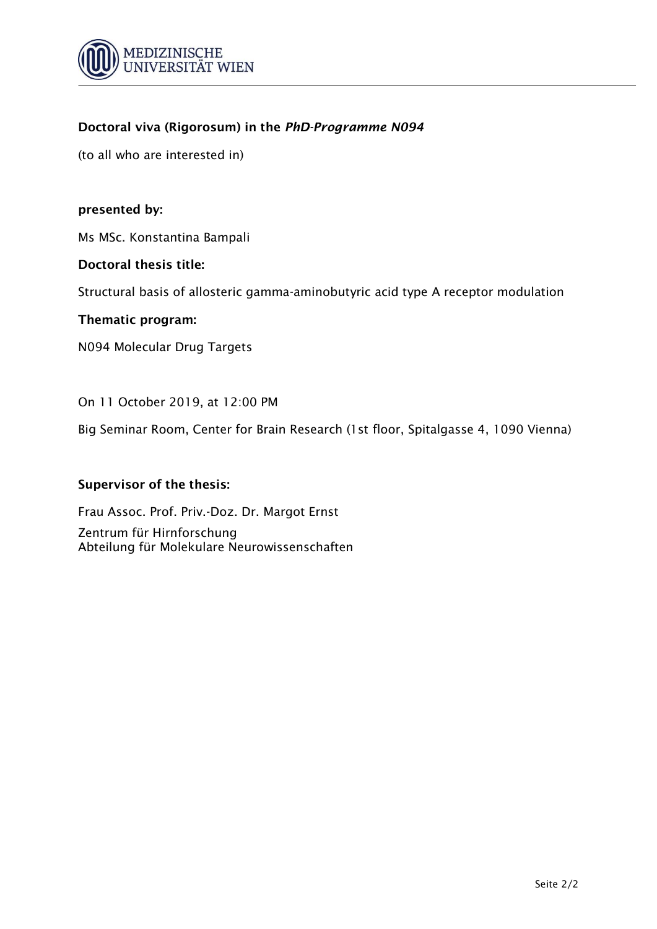

(to all who are interested in)

## **presented by:**

Ms MSc. Konstantina Bampali

## **Doctoral thesis title:**

Structural basis of allosteric gamma-aminobutyric acid type A receptor modulation

## **Thematic program:**

N094 Molecular Drug Targets

## On 11 October 2019, at 12:00 PM

Big Seminar Room, Center for Brain Research (1st floor, Spitalgasse 4, 1090 Vienna)

## **Supervisor of the thesis:**

Frau Assoc. Prof. Priv.-Doz. Dr. Margot Ernst Zentrum für Hirnforschung Abteilung für Molekulare Neurowissenschaften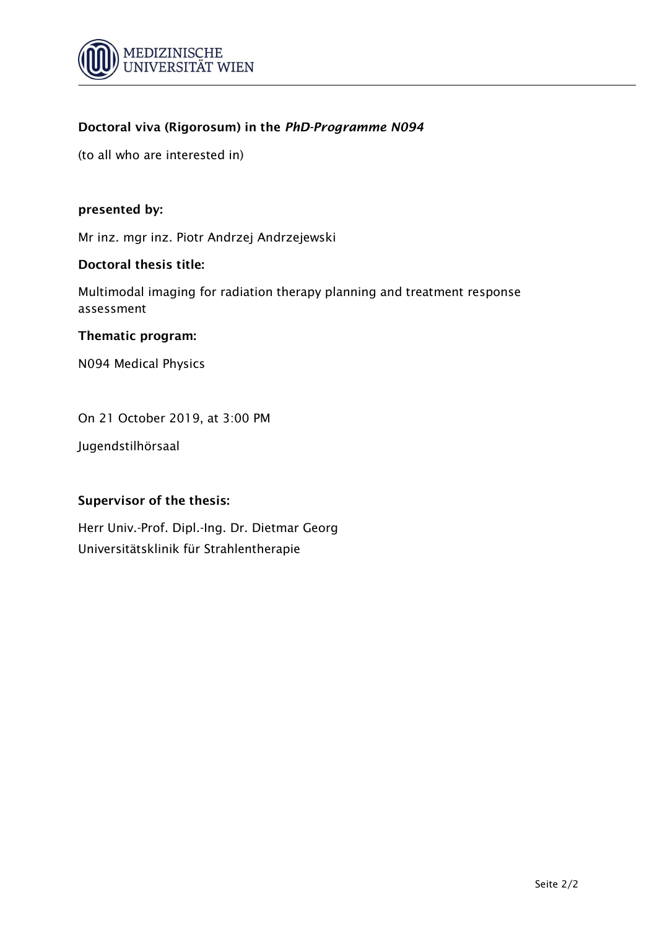

(to all who are interested in)

## **presented by:**

Mr inz. mgr inz. Piotr Andrzej Andrzejewski

## **Doctoral thesis title:**

Multimodal imaging for radiation therapy planning and treatment response assessment

## **Thematic program:**

N094 Medical Physics

On 21 October 2019, at 3:00 PM

Jugendstilhörsaal

## **Supervisor of the thesis:**

Herr Univ.-Prof. Dipl.-Ing. Dr. Dietmar Georg Universitätsklinik für Strahlentherapie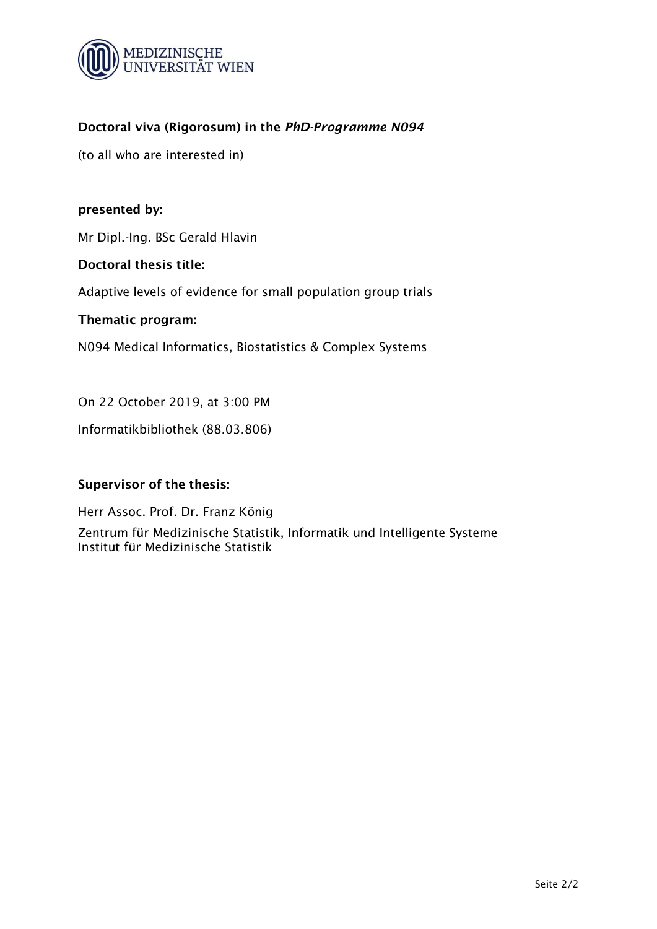

(to all who are interested in)

## **presented by:**

Mr Dipl.-Ing. BSc Gerald Hlavin

## **Doctoral thesis title:**

Adaptive levels of evidence for small population group trials

## **Thematic program:**

N094 Medical Informatics, Biostatistics & Complex Systems

On 22 October 2019, at 3:00 PM

Informatikbibliothek (88.03.806)

## **Supervisor of the thesis:**

Herr Assoc. Prof. Dr. Franz König Zentrum für Medizinische Statistik, Informatik und Intelligente Systeme Institut für Medizinische Statistik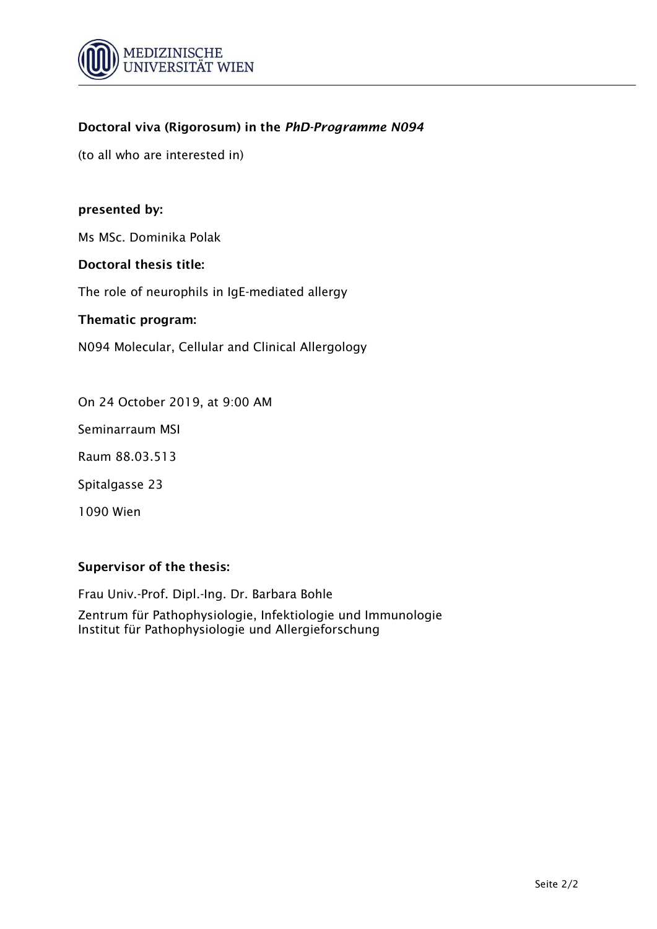

(to all who are interested in)

## **presented by:**

Ms MSc. Dominika Polak

## **Doctoral thesis title:**

The role of neurophils in IgE-mediated allergy

## **Thematic program:**

N094 Molecular, Cellular and Clinical Allergology

On 24 October 2019, at 9:00 AM

Seminarraum MSI

Raum 88.03.513

Spitalgasse 23

1090 Wien

# **Supervisor of the thesis:**

Frau Univ.-Prof. Dipl.-Ing. Dr. Barbara Bohle

Zentrum für Pathophysiologie, Infektiologie und Immunologie Institut für Pathophysiologie und Allergieforschung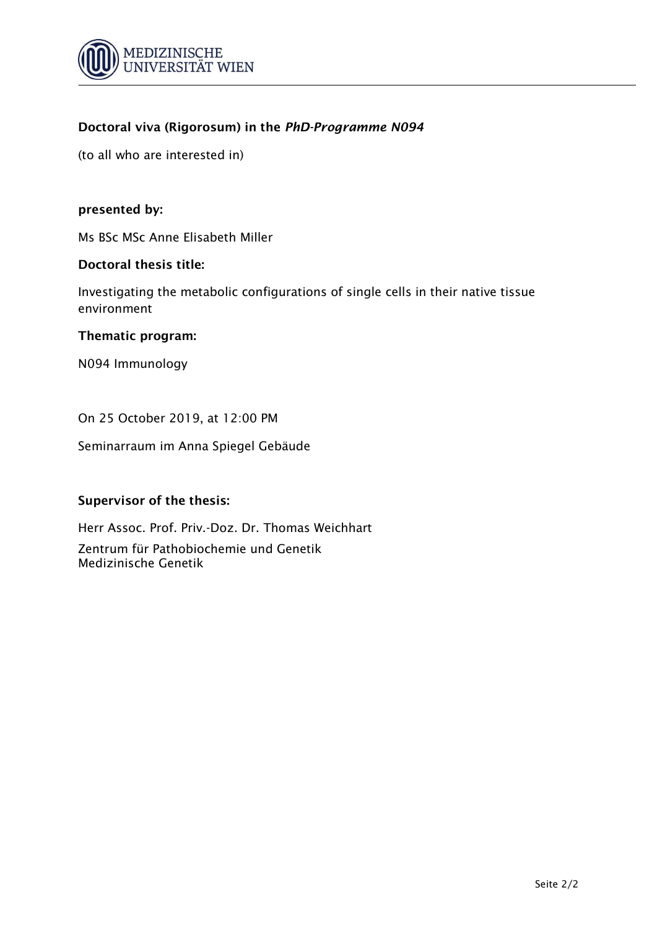

(to all who are interested in)

## **presented by:**

Ms BSc MSc Anne Elisabeth Miller

## **Doctoral thesis title:**

Investigating the metabolic configurations of single cells in their native tissue environment

## **Thematic program:**

N094 Immunology

On 25 October 2019, at 12:00 PM

Seminarraum im Anna Spiegel Gebäude

## **Supervisor of the thesis:**

Herr Assoc. Prof. Priv.-Doz. Dr. Thomas Weichhart Zentrum für Pathobiochemie und Genetik Medizinische Genetik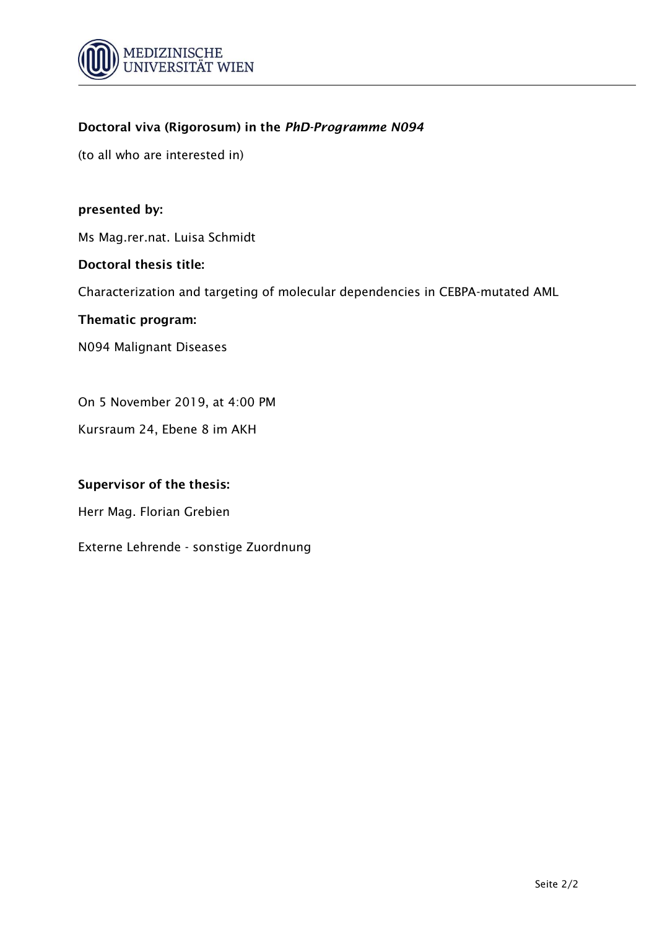

(to all who are interested in)

## **presented by:**

Ms Mag.rer.nat. Luisa Schmidt

## **Doctoral thesis title:**

Characterization and targeting of molecular dependencies in CEBPA-mutated AML

## **Thematic program:**

N094 Malignant Diseases

On 5 November 2019, at 4:00 PM

Kursraum 24, Ebene 8 im AKH

## **Supervisor of the thesis:**

Herr Mag. Florian Grebien

Externe Lehrende - sonstige Zuordnung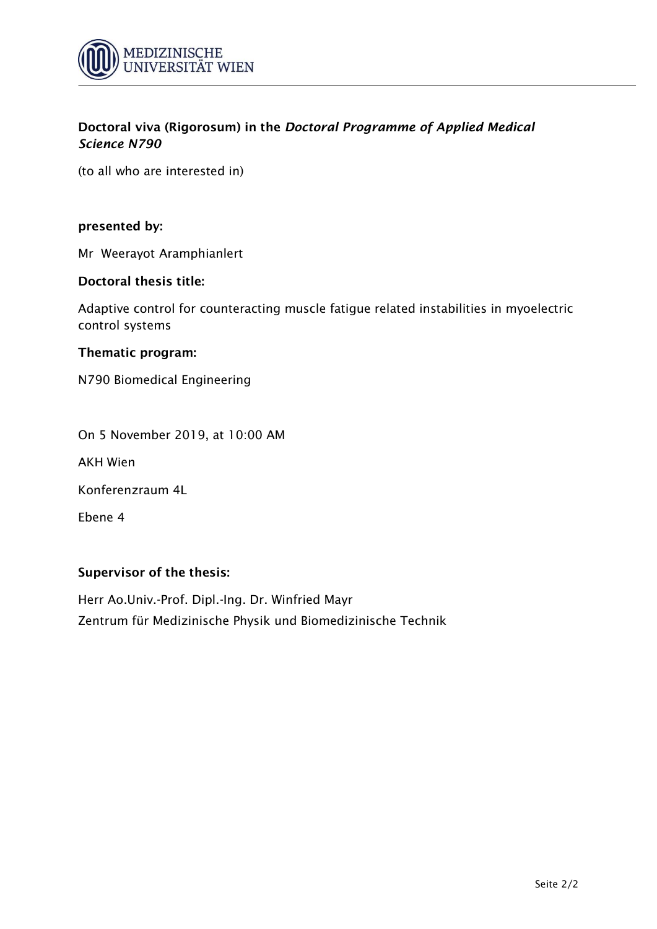

(to all who are interested in)

#### **presented by:**

Mr Weerayot Aramphianlert

### **Doctoral thesis title:**

Adaptive control for counteracting muscle fatigue related instabilities in myoelectric control systems

#### **Thematic program:**

N790 Biomedical Engineering

On 5 November 2019, at 10:00 AM

AKH Wien

Konferenzraum 4L

Ebene 4

## **Supervisor of the thesis:**

Herr Ao.Univ.-Prof. Dipl.-Ing. Dr. Winfried Mayr Zentrum für Medizinische Physik und Biomedizinische Technik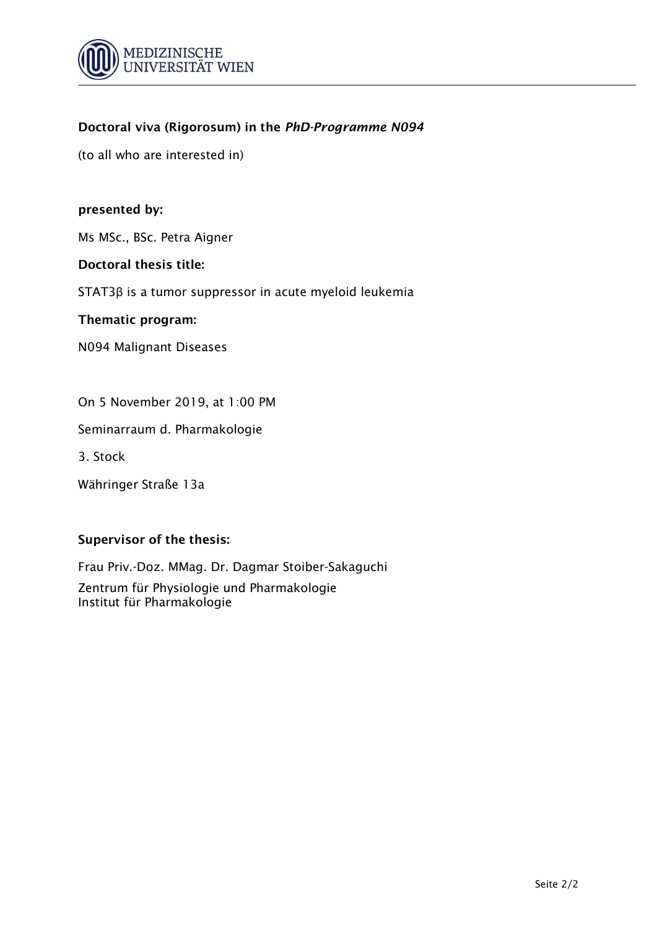

(to all who are interested in)

## **presented by:**

Ms MSc., BSc. Petra Aigner

#### **Doctoral thesis title:**

STAT3β is a tumor suppressor in acute myeloid leukemia

#### **Thematic program:**

N094 Malignant Diseases

On 5 November 2019, at 1:00 PM

Seminarraum d. Pharmakologie

3. Stock

Währinger Straße 13a

## **Supervisor of the thesis:**

Frau Priv.-Doz. MMag. Dr. Dagmar Stoiber-Sakaguchi Zentrum für Physiologie und Pharmakologie Institut für Pharmakologie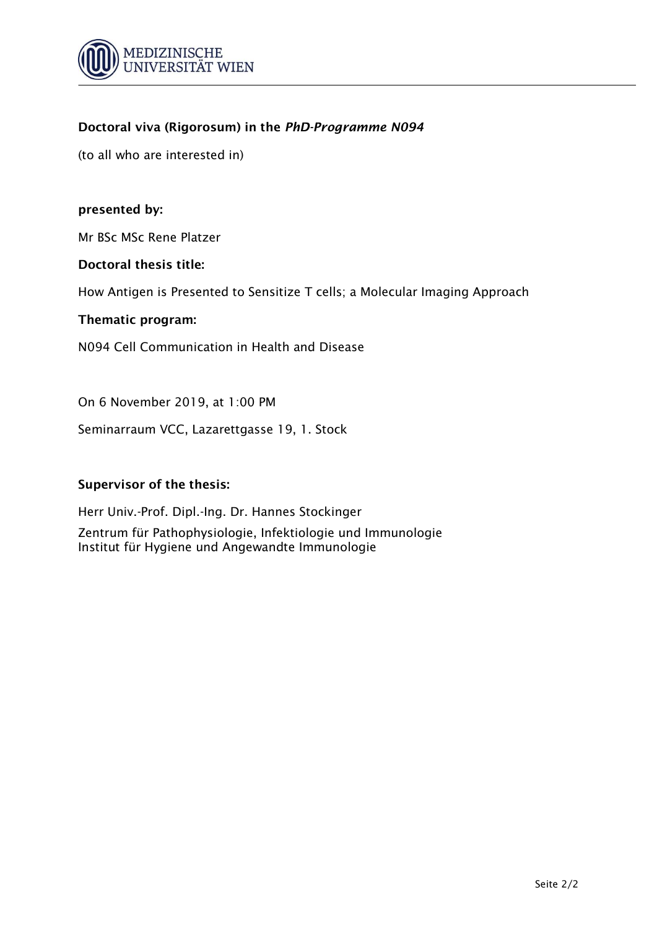

(to all who are interested in)

## **presented by:**

Mr BSc MSc Rene Platzer

#### **Doctoral thesis title:**

How Antigen is Presented to Sensitize T cells; a Molecular Imaging Approach

#### **Thematic program:**

N094 Cell Communication in Health and Disease

On 6 November 2019, at 1:00 PM

Seminarraum VCC, Lazarettgasse 19, 1. Stock

## **Supervisor of the thesis:**

Herr Univ.-Prof. Dipl.-Ing. Dr. Hannes Stockinger Zentrum für Pathophysiologie, Infektiologie und Immunologie Institut für Hygiene und Angewandte Immunologie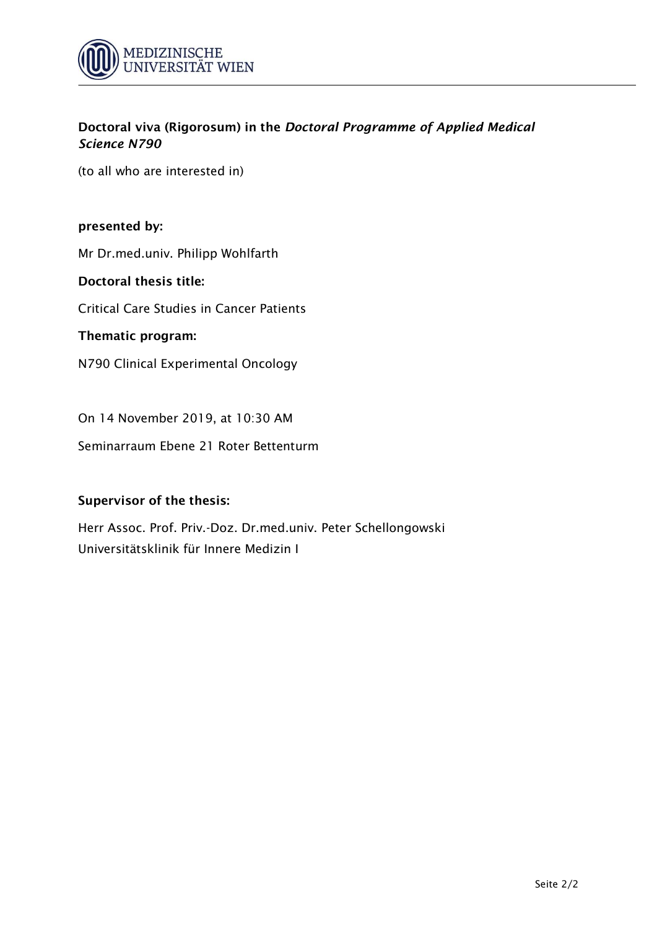

(to all who are interested in)

## **presented by:**

Mr Dr.med.univ. Philipp Wohlfarth

## **Doctoral thesis title:**

Critical Care Studies in Cancer Patients

### **Thematic program:**

N790 Clinical Experimental Oncology

On 14 November 2019, at 10:30 AM

Seminarraum Ebene 21 Roter Bettenturm

## **Supervisor of the thesis:**

Herr Assoc. Prof. Priv.-Doz. Dr.med.univ. Peter Schellongowski Universitätsklinik für Innere Medizin I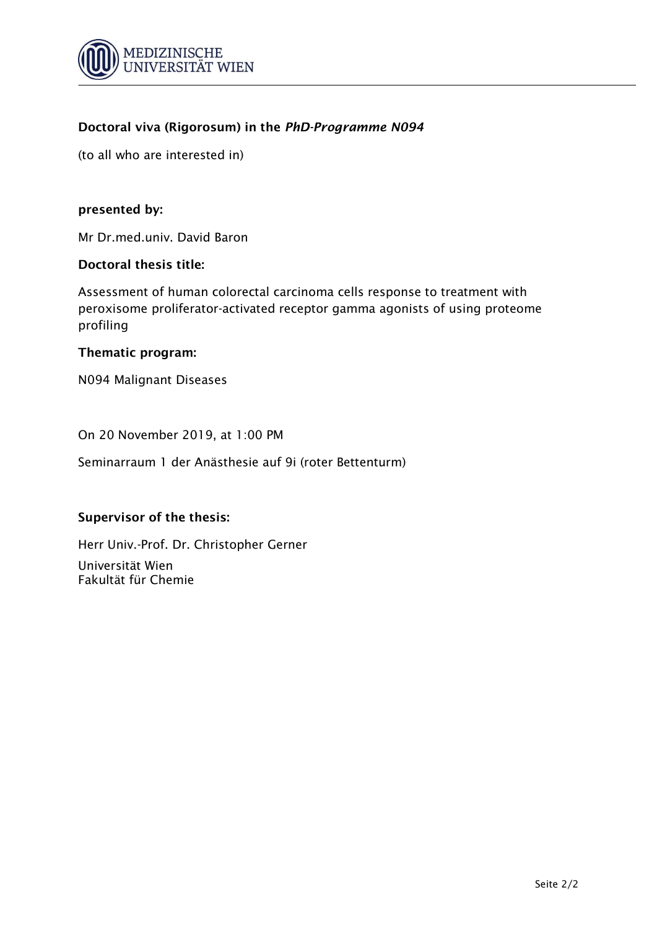

(to all who are interested in)

## **presented by:**

Mr Dr.med.univ. David Baron

#### **Doctoral thesis title:**

Assessment of human colorectal carcinoma cells response to treatment with peroxisome proliferator-activated receptor gamma agonists of using proteome profiling

#### **Thematic program:**

N094 Malignant Diseases

On 20 November 2019, at 1:00 PM

Seminarraum 1 der Anästhesie auf 9i (roter Bettenturm)

## **Supervisor of the thesis:**

Herr Univ.-Prof. Dr. Christopher Gerner Universität Wien Fakultät für Chemie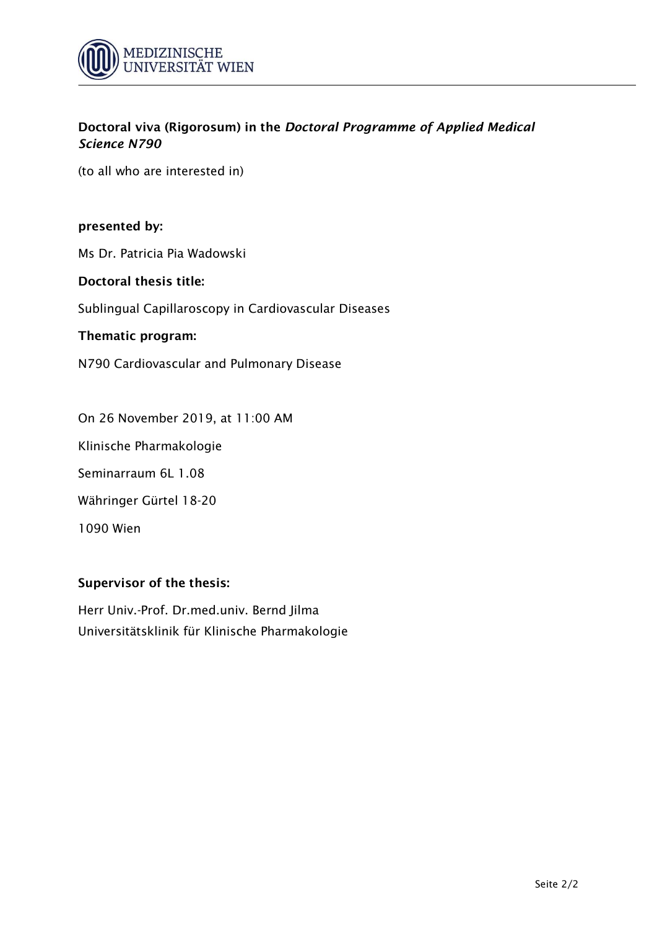

(to all who are interested in)

## **presented by:**

Ms Dr. Patricia Pia Wadowski

## **Doctoral thesis title:**

Sublingual Capillaroscopy in Cardiovascular Diseases

#### **Thematic program:**

N790 Cardiovascular and Pulmonary Disease

On 26 November 2019, at 11:00 AM

Klinische Pharmakologie

Seminarraum 6L 1.08

Währinger Gürtel 18-20

1090 Wien

## **Supervisor of the thesis:**

Herr Univ.-Prof. Dr.med.univ. Bernd Jilma Universitätsklinik für Klinische Pharmakologie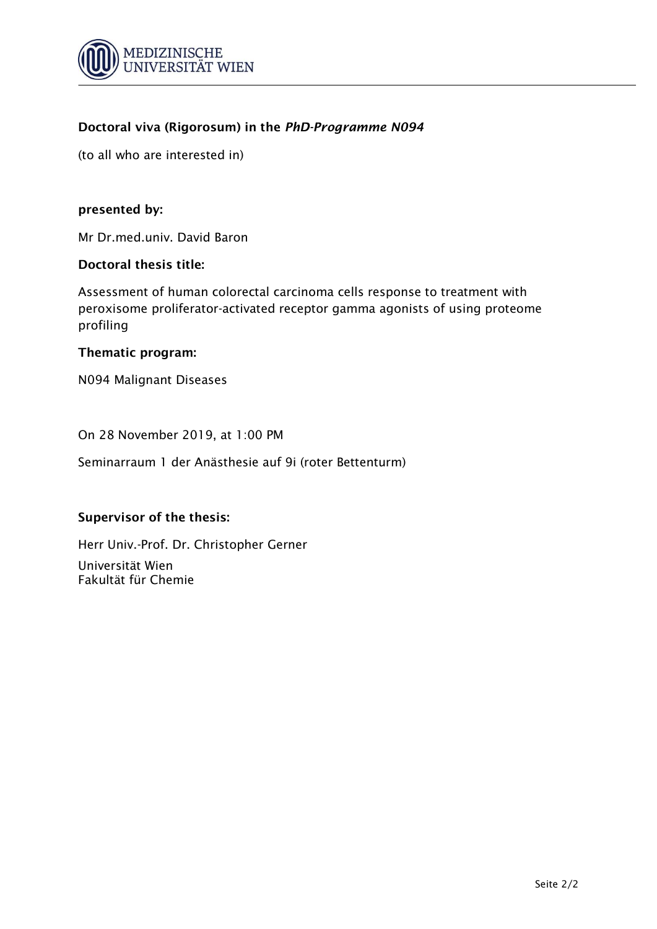

(to all who are interested in)

## **presented by:**

Mr Dr.med.univ. David Baron

#### **Doctoral thesis title:**

Assessment of human colorectal carcinoma cells response to treatment with peroxisome proliferator-activated receptor gamma agonists of using proteome profiling

## **Thematic program:**

N094 Malignant Diseases

On 28 November 2019, at 1:00 PM

Seminarraum 1 der Anästhesie auf 9i (roter Bettenturm)

## **Supervisor of the thesis:**

Herr Univ.-Prof. Dr. Christopher Gerner Universität Wien Fakultät für Chemie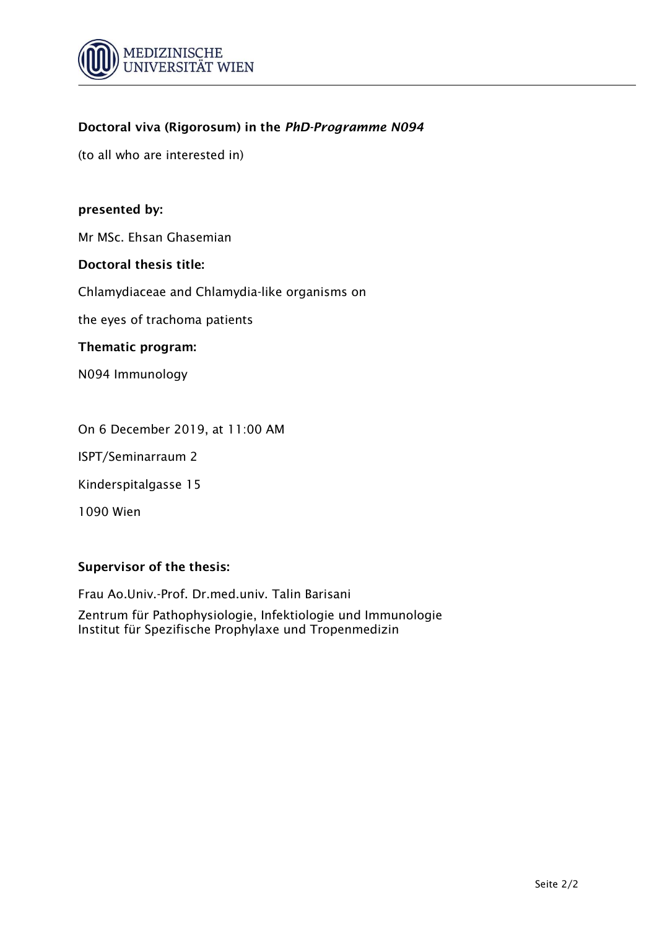

(to all who are interested in)

## **presented by:**

Mr MSc. Ehsan Ghasemian

#### **Doctoral thesis title:**

Chlamydiaceae and Chlamydia-like organisms on

the eyes of trachoma patients

#### **Thematic program:**

N094 Immunology

On 6 December 2019, at 11:00 AM

ISPT/Seminarraum 2

Kinderspitalgasse 15

1090 Wien

## **Supervisor of the thesis:**

Frau Ao.Univ.-Prof. Dr.med.univ. Talin Barisani

Zentrum für Pathophysiologie, Infektiologie und Immunologie Institut für Spezifische Prophylaxe und Tropenmedizin